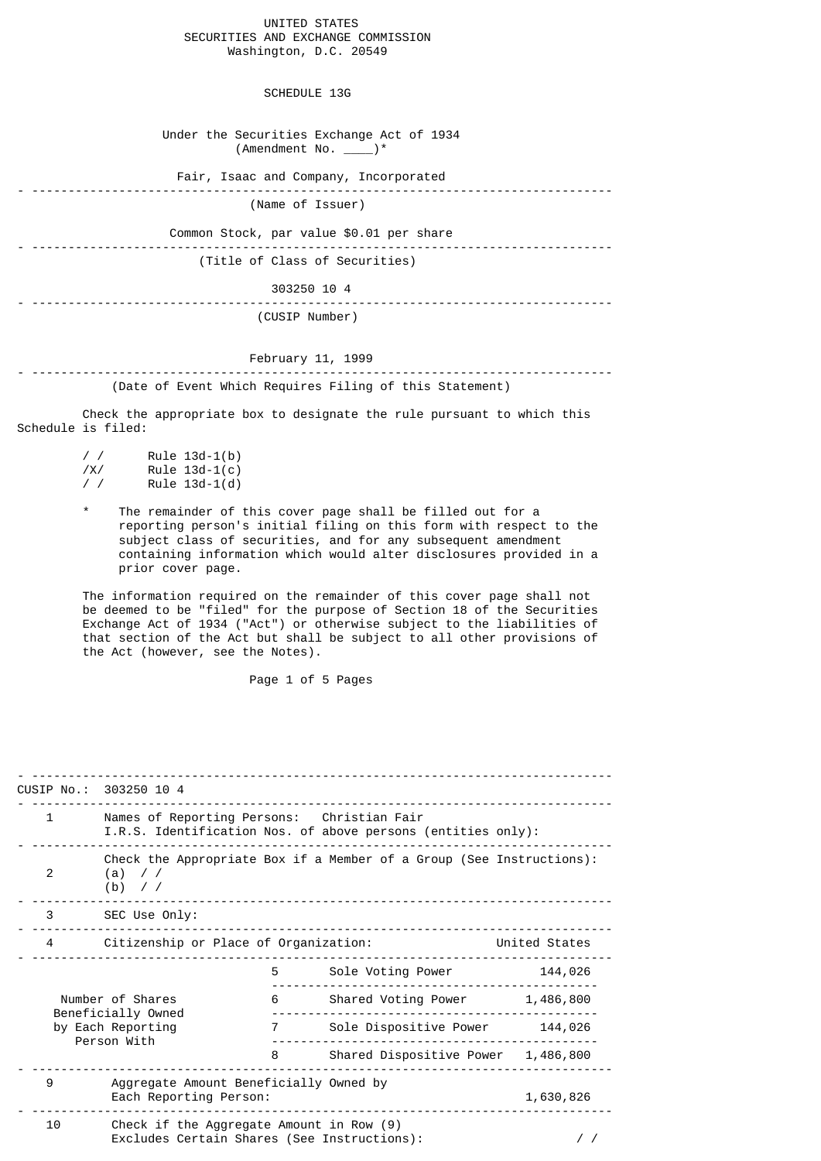## UNITED STATES SECURITIES AND EXCHANGE COMMISSION Washington, D.C. 20549

SCHEDULE 13G

 Under the Securities Exchange Act of 1934  $($ Amendment No.  $\rangle^*$  Fair, Isaac and Company, Incorporated - -------------------------------------------------------------------------------- (Name of Issuer) Common Stock, par value \$0.01 per share - -------------------------------------------------------------------------------- (Title of Class of Securities) 303250 10 4 - -------------------------------------------------------------------------------- (CUSIP Number)

## February 11, 1999

- -------------------------------------------------------------------------------- (Date of Event Which Requires Filing of this Statement)

 Check the appropriate box to designate the rule pursuant to which this Schedule is filed:

| $\prime$ / | Rule $13d-1(b)$ |
|------------|-----------------|
| /X/        | Rule $13d-1(c)$ |
| $\prime$ / | Rule $13d-1(d)$ |

 \* The remainder of this cover page shall be filled out for a reporting person's initial filing on this form with respect to the subject class of securities, and for any subsequent amendment containing information which would alter disclosures provided in a prior cover page.

> The information required on the remainder of this cover page shall not be deemed to be "filed" for the purpose of Section 18 of the Securities Exchange Act of 1934 ("Act") or otherwise subject to the liabilities of that section of the Act but shall be subject to all other provisions of the Act (however, see the Notes).

> > Page 1 of 5 Pages

|                                                                            | CUSIP No.: 303250 10 4                                                                                     |                                    |                   |            |
|----------------------------------------------------------------------------|------------------------------------------------------------------------------------------------------------|------------------------------------|-------------------|------------|
| $\mathbf{1}$                                                               | Names of Reporting Persons: Christian Fair<br>I.R.S. Identification Nos. of above persons (entities only): |                                    |                   |            |
| 2                                                                          | Check the Appropriate Box if a Member of a Group (See Instructions):<br>$(a)$ / /<br>$(b)$ / /             |                                    |                   |            |
| 3 <sup>1</sup>                                                             | SEC Use Only:                                                                                              |                                    |                   |            |
| 4                                                                          | Citizenship or Place of Organization:                                                                      |                                    | United States     |            |
|                                                                            |                                                                                                            | 5                                  | Sole Voting Power | 144,026    |
| Number of Shares<br>Beneficially Owned<br>by Each Reporting<br>Person With | 6                                                                                                          | Shared Voting Power                | 1,486,800         |            |
|                                                                            | 7                                                                                                          | Sole Dispositive Power             | 144,026           |            |
|                                                                            | 8                                                                                                          | Shared Dispositive Power 1,486,800 |                   |            |
| 9                                                                          | Aggregate Amount Beneficially Owned by<br>Each Reporting Person:                                           |                                    |                   | 1,630,826  |
| 10                                                                         | Check if the Aggregate Amount in Row (9)<br>Excludes Certain Shares (See Instructions):                    |                                    |                   | $\prime$ / |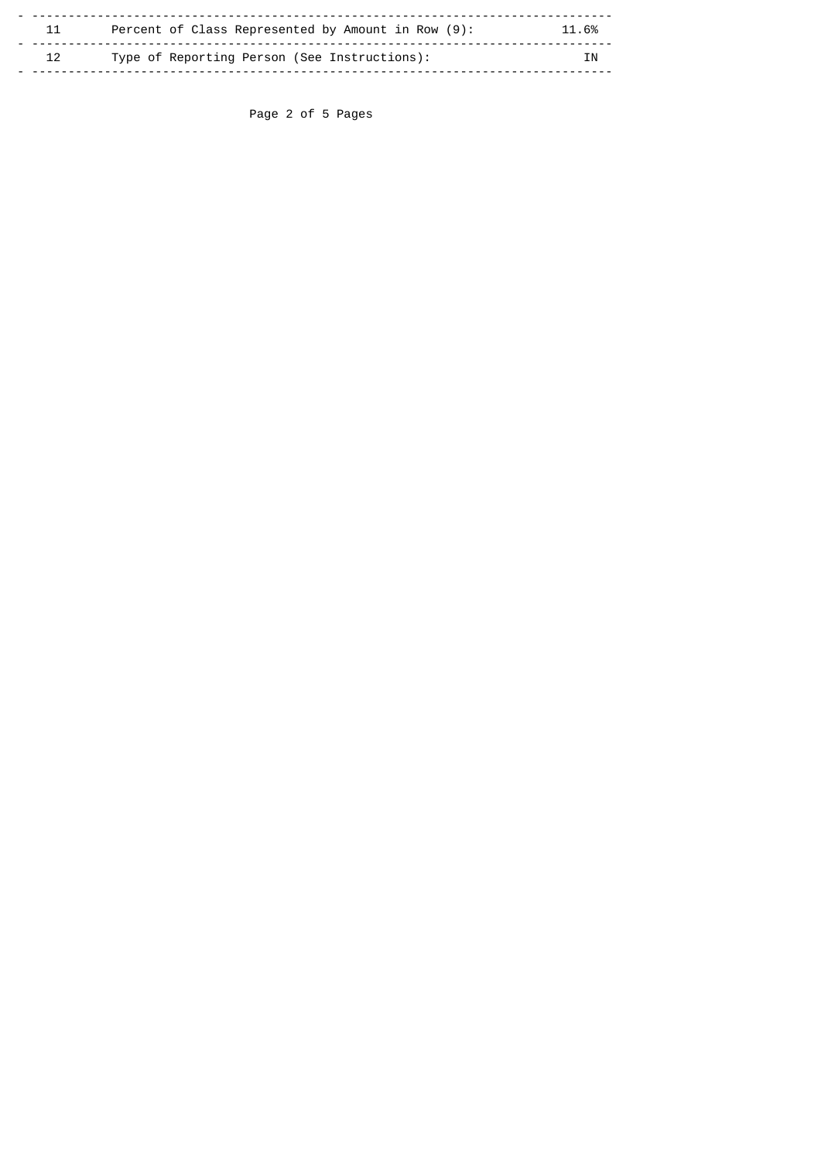| 11 | Percent of Class Represented by Amount in Row (9): | 11.6% |
|----|----------------------------------------------------|-------|
| 12 | Type of Reporting Person (See Instructions):       | ΙN    |

Page 2 of 5 Pages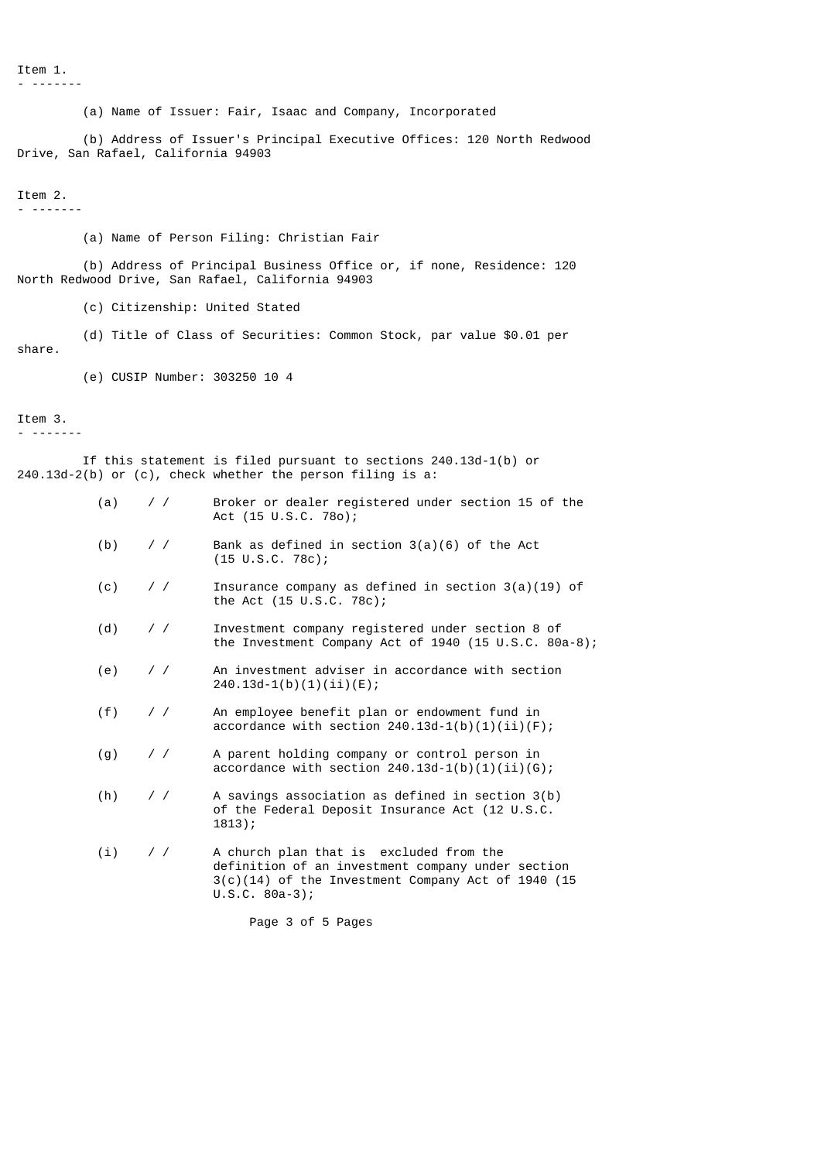Item 1. - -------

(a) Name of Issuer: Fair, Isaac and Company, Incorporated

 (b) Address of Issuer's Principal Executive Offices: 120 North Redwood Drive, San Rafael, California 94903

## Item 2.

- -------

(a) Name of Person Filing: Christian Fair

 (b) Address of Principal Business Office or, if none, Residence: 120 North Redwood Drive, San Rafael, California 94903

(c) Citizenship: United Stated

(d) Title of Class of Securities: Common Stock, par value \$0.01 per

share.

(e) CUSIP Number: 303250 10 4

## Item 3.

- -------

 If this statement is filed pursuant to sections 240.13d-1(b) or 240.13d-2(b) or (c), check whether the person filing is a:

- (a) / / Broker or dealer registered under section 15 of the Act (15 U.S.C. 78o);
- (b)  $//$  Bank as defined in section  $3(a)(6)$  of the Act (15 U.S.C. 78c);
- (c)  $\frac{1}{2}$  / / Insurance company as defined in section 3(a)(19) of the Act (15 U.S.C. 78c);
- (d) / / Investment company registered under section 8 of the Investment Company Act of 1940 (15 U.S.C. 80a-8);
- (e) / / An investment adviser in accordance with section 240.13d-1(b)(1)(ii)(E);
- (f) / / An employee benefit plan or endowment fund in accordance with section  $240.13d-1(b)(1)(ii)(F)$ ;
- (g) / / A parent holding company or control person in accordance with section  $240.13d-1(b)(1)(ii)(G);$
- (h) / / A savings association as defined in section 3(b) of the Federal Deposit Insurance Act (12 U.S.C. 1813);
- (i) / / A church plan that is excluded from the definition of an investment company under section 3(c)(14) of the Investment Company Act of 1940 (15 U.S.C. 80a-3);

Page 3 of 5 Pages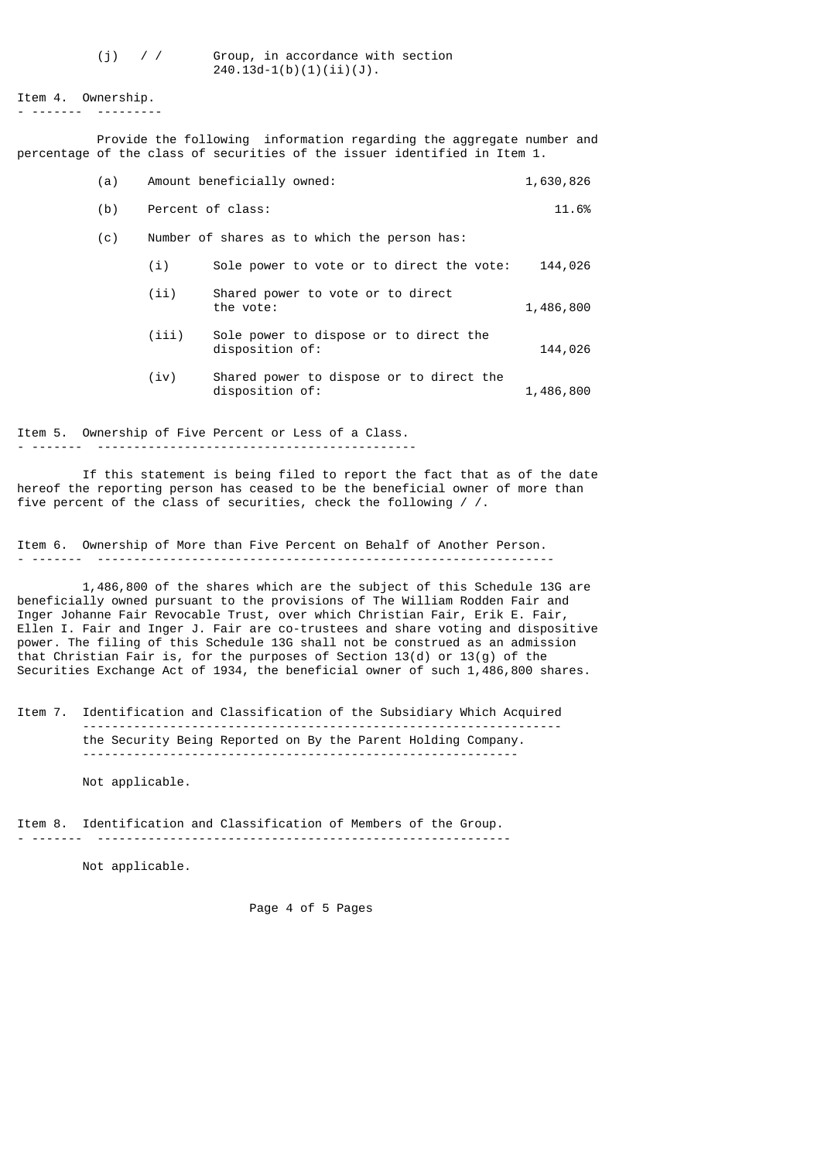(j) / / Group, in accordance with section  $240.13d-1(b)(1)(ii)(J)$ .

Item 4. Ownership. - ------- ---------

 Provide the following information regarding the aggregate number and percentage of the class of securities of the issuer identified in Item 1.

| (a) |       | Amount beneficially owned:                                  | 1,630,826 |
|-----|-------|-------------------------------------------------------------|-----------|
| (b) |       | Percent of class:                                           | 11.6%     |
| (c) |       | Number of shares as to which the person has:                |           |
|     | (i)   | Sole power to vote or to direct the vote:                   | 144,026   |
|     | (i)   | Shared power to vote or to direct<br>the vote:              | 1,486,800 |
|     | (iii) | Sole power to dispose or to direct the<br>disposition of:   | 144,026   |
|     | (iv)  | Shared power to dispose or to direct the<br>disposition of: | 1,486,800 |

Item 5. Ownership of Five Percent or Less of a Class. - ------- --------------------------------------------

 If this statement is being filed to report the fact that as of the date hereof the reporting person has ceased to be the beneficial owner of more than five percent of the class of securities, check the following  $/$  /.

Item 6. Ownership of More than Five Percent on Behalf of Another Person. - ------- ---------------------------------------------------------------

 1,486,800 of the shares which are the subject of this Schedule 13G are beneficially owned pursuant to the provisions of The William Rodden Fair and Inger Johanne Fair Revocable Trust, over which Christian Fair, Erik E. Fair, Ellen I. Fair and Inger J. Fair are co-trustees and share voting and dispositive power. The filing of this Schedule 13G shall not be construed as an admission that Christian Fair is, for the purposes of Section 13(d) or 13(g) of the Securities Exchange Act of 1934, the beneficial owner of such  $1,486,800$  shares.

Item 7. Identification and Classification of the Subsidiary Which Acquired ----------------------------------------------------------------- the Security Being Reported on By the Parent Holding Company. ------------------------------------------------------------

Not applicable.

Item 8. Identification and Classification of Members of the Group.

- ------- ---------------------------------------------------------

Not applicable.

Page 4 of 5 Pages